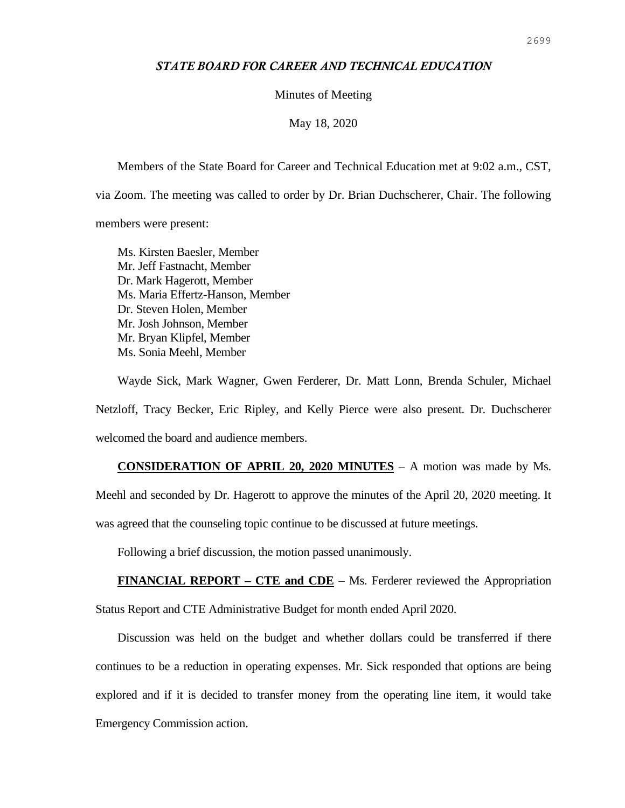## *STATE BOARD FOR CAREER AND TECHNICAL EDUCATION*

Minutes of Meeting

May 18, 2020

Members of the State Board for Career and Technical Education met at 9:02 a.m., CST,

via Zoom. The meeting was called to order by Dr. Brian Duchscherer, Chair. The following

members were present:

Ms. Kirsten Baesler, Member Mr. Jeff Fastnacht, Member Dr. Mark Hagerott, Member Ms. Maria Effertz-Hanson, Member Dr. Steven Holen, Member Mr. Josh Johnson, Member Mr. Bryan Klipfel, Member Ms. Sonia Meehl, Member

Wayde Sick, Mark Wagner, Gwen Ferderer, Dr. Matt Lonn, Brenda Schuler, Michael Netzloff, Tracy Becker, Eric Ripley, and Kelly Pierce were also present. Dr. Duchscherer welcomed the board and audience members.

**CONSIDERATION OF APRIL 20, 2020 MINUTES** – A motion was made by Ms. Meehl and seconded by Dr. Hagerott to approve the minutes of the April 20, 2020 meeting. It was agreed that the counseling topic continue to be discussed at future meetings.

Following a brief discussion, the motion passed unanimously.

**FINANCIAL REPORT – CTE and CDE** – Ms. Ferderer reviewed the Appropriation Status Report and CTE Administrative Budget for month ended April 2020.

Discussion was held on the budget and whether dollars could be transferred if there continues to be a reduction in operating expenses. Mr. Sick responded that options are being explored and if it is decided to transfer money from the operating line item, it would take Emergency Commission action.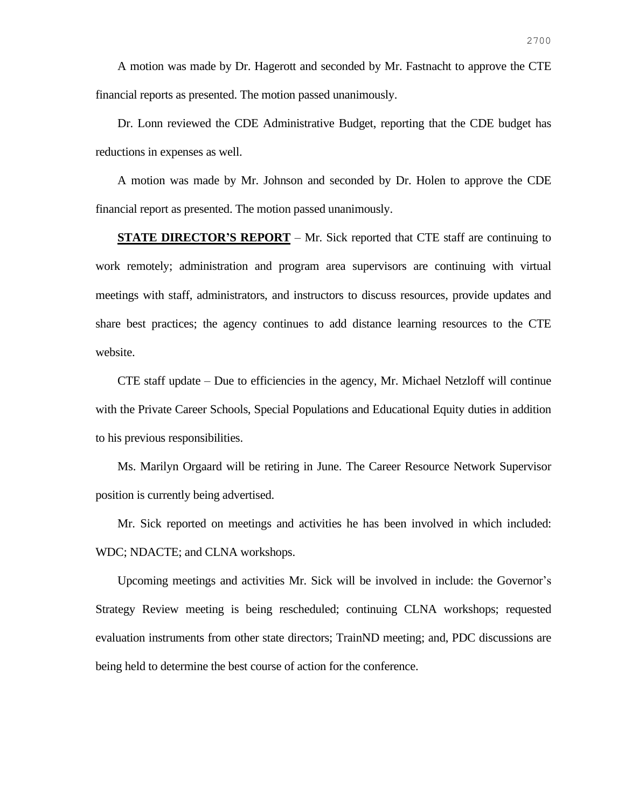A motion was made by Dr. Hagerott and seconded by Mr. Fastnacht to approve the CTE financial reports as presented. The motion passed unanimously.

Dr. Lonn reviewed the CDE Administrative Budget, reporting that the CDE budget has reductions in expenses as well.

A motion was made by Mr. Johnson and seconded by Dr. Holen to approve the CDE financial report as presented. The motion passed unanimously.

**STATE DIRECTOR'S REPORT** – Mr. Sick reported that CTE staff are continuing to work remotely; administration and program area supervisors are continuing with virtual meetings with staff, administrators, and instructors to discuss resources, provide updates and share best practices; the agency continues to add distance learning resources to the CTE website.

CTE staff update – Due to efficiencies in the agency, Mr. Michael Netzloff will continue with the Private Career Schools, Special Populations and Educational Equity duties in addition to his previous responsibilities.

Ms. Marilyn Orgaard will be retiring in June. The Career Resource Network Supervisor position is currently being advertised.

Mr. Sick reported on meetings and activities he has been involved in which included: WDC; NDACTE; and CLNA workshops.

Upcoming meetings and activities Mr. Sick will be involved in include: the Governor's Strategy Review meeting is being rescheduled; continuing CLNA workshops; requested evaluation instruments from other state directors; TrainND meeting; and, PDC discussions are being held to determine the best course of action for the conference.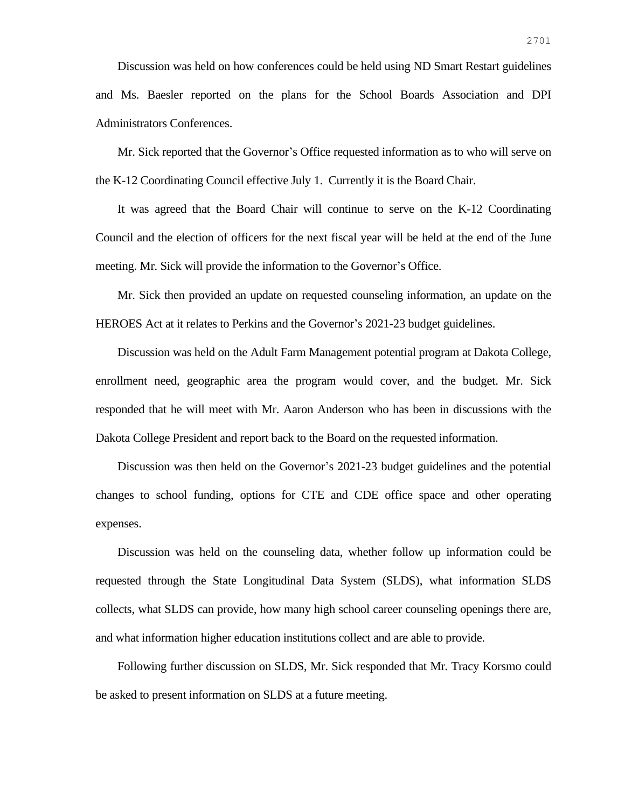Discussion was held on how conferences could be held using ND Smart Restart guidelines and Ms. Baesler reported on the plans for the School Boards Association and DPI Administrators Conferences.

Mr. Sick reported that the Governor's Office requested information as to who will serve on the K-12 Coordinating Council effective July 1. Currently it is the Board Chair.

It was agreed that the Board Chair will continue to serve on the K-12 Coordinating Council and the election of officers for the next fiscal year will be held at the end of the June meeting. Mr. Sick will provide the information to the Governor's Office.

Mr. Sick then provided an update on requested counseling information, an update on the HEROES Act at it relates to Perkins and the Governor's 2021-23 budget guidelines.

Discussion was held on the Adult Farm Management potential program at Dakota College, enrollment need, geographic area the program would cover, and the budget. Mr. Sick responded that he will meet with Mr. Aaron Anderson who has been in discussions with the Dakota College President and report back to the Board on the requested information.

Discussion was then held on the Governor's 2021-23 budget guidelines and the potential changes to school funding, options for CTE and CDE office space and other operating expenses.

Discussion was held on the counseling data, whether follow up information could be requested through the State Longitudinal Data System (SLDS), what information SLDS collects, what SLDS can provide, how many high school career counseling openings there are, and what information higher education institutions collect and are able to provide.

Following further discussion on SLDS, Mr. Sick responded that Mr. Tracy Korsmo could be asked to present information on SLDS at a future meeting.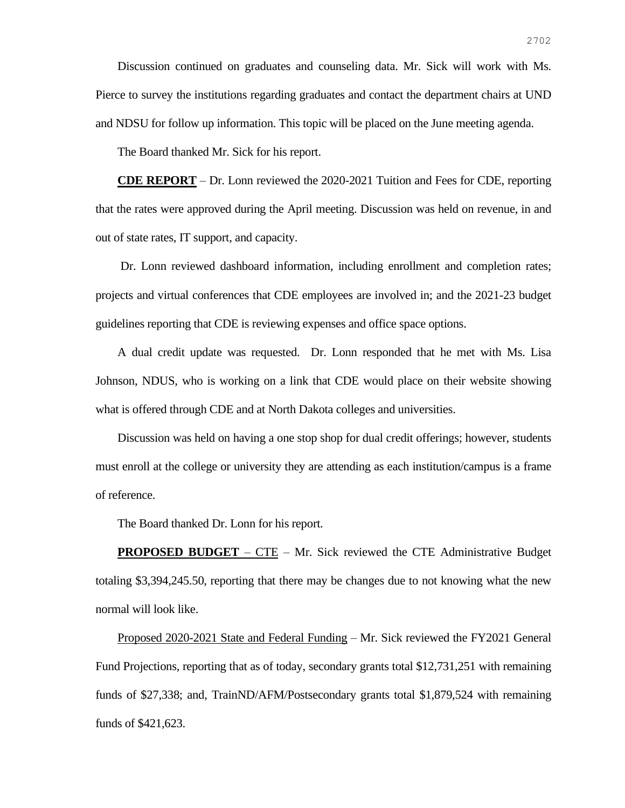Discussion continued on graduates and counseling data. Mr. Sick will work with Ms. Pierce to survey the institutions regarding graduates and contact the department chairs at UND and NDSU for follow up information. This topic will be placed on the June meeting agenda.

The Board thanked Mr. Sick for his report.

**CDE REPORT** – Dr. Lonn reviewed the 2020-2021 Tuition and Fees for CDE, reporting that the rates were approved during the April meeting. Discussion was held on revenue, in and out of state rates, IT support, and capacity.

Dr. Lonn reviewed dashboard information, including enrollment and completion rates; projects and virtual conferences that CDE employees are involved in; and the 2021-23 budget guidelines reporting that CDE is reviewing expenses and office space options.

A dual credit update was requested. Dr. Lonn responded that he met with Ms. Lisa Johnson, NDUS, who is working on a link that CDE would place on their website showing what is offered through CDE and at North Dakota colleges and universities.

Discussion was held on having a one stop shop for dual credit offerings; however, students must enroll at the college or university they are attending as each institution/campus is a frame of reference.

The Board thanked Dr. Lonn for his report.

**PROPOSED BUDGET** – CTE – Mr. Sick reviewed the CTE Administrative Budget totaling \$3,394,245.50, reporting that there may be changes due to not knowing what the new normal will look like.

Proposed 2020-2021 State and Federal Funding – Mr. Sick reviewed the FY2021 General Fund Projections, reporting that as of today, secondary grants total \$12,731,251 with remaining funds of \$27,338; and, TrainND/AFM/Postsecondary grants total \$1,879,524 with remaining funds of \$421,623.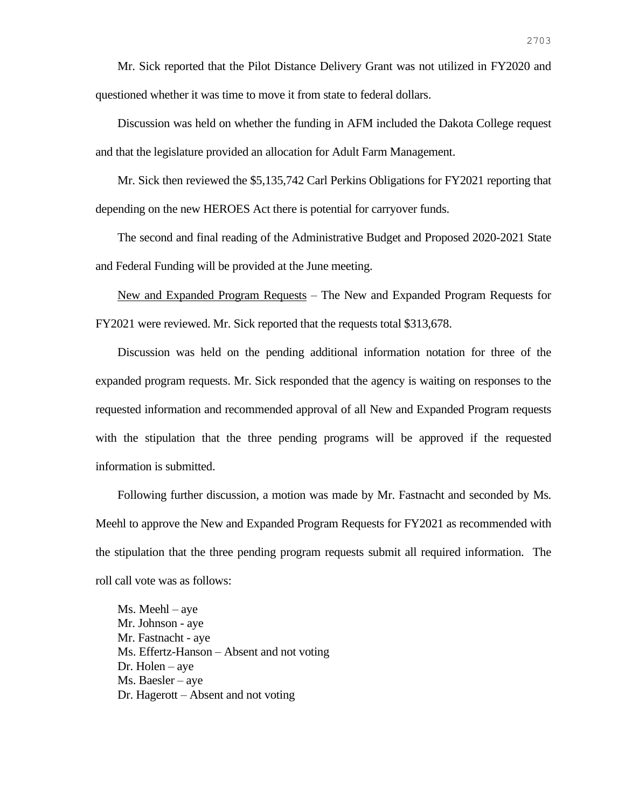Mr. Sick reported that the Pilot Distance Delivery Grant was not utilized in FY2020 and questioned whether it was time to move it from state to federal dollars.

Discussion was held on whether the funding in AFM included the Dakota College request and that the legislature provided an allocation for Adult Farm Management.

Mr. Sick then reviewed the \$5,135,742 Carl Perkins Obligations for FY2021 reporting that depending on the new HEROES Act there is potential for carryover funds.

The second and final reading of the Administrative Budget and Proposed 2020-2021 State and Federal Funding will be provided at the June meeting.

New and Expanded Program Requests – The New and Expanded Program Requests for FY2021 were reviewed. Mr. Sick reported that the requests total \$313,678.

Discussion was held on the pending additional information notation for three of the expanded program requests. Mr. Sick responded that the agency is waiting on responses to the requested information and recommended approval of all New and Expanded Program requests with the stipulation that the three pending programs will be approved if the requested information is submitted.

Following further discussion, a motion was made by Mr. Fastnacht and seconded by Ms. Meehl to approve the New and Expanded Program Requests for FY2021 as recommended with the stipulation that the three pending program requests submit all required information. The roll call vote was as follows:

Ms. Meehl – aye Mr. Johnson - aye Mr. Fastnacht - aye Ms. Effertz-Hanson – Absent and not voting Dr. Holen – aye Ms. Baesler – aye Dr. Hagerott – Absent and not voting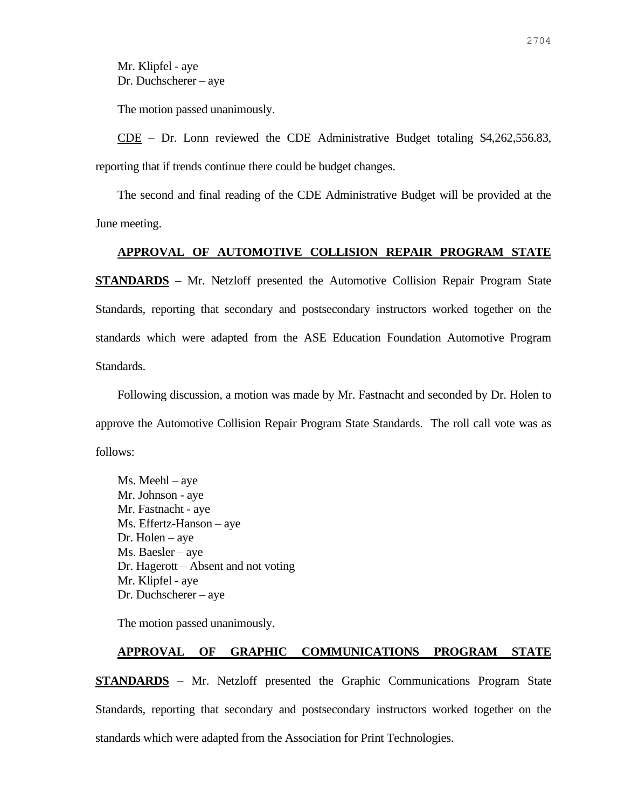Mr. Klipfel - aye Dr. Duchscherer – aye

The motion passed unanimously.

CDE – Dr. Lonn reviewed the CDE Administrative Budget totaling \$4,262,556.83, reporting that if trends continue there could be budget changes.

The second and final reading of the CDE Administrative Budget will be provided at the June meeting.

## **APPROVAL OF AUTOMOTIVE COLLISION REPAIR PROGRAM STATE**

**STANDARDS** – Mr. Netzloff presented the Automotive Collision Repair Program State Standards, reporting that secondary and postsecondary instructors worked together on the standards which were adapted from the ASE Education Foundation Automotive Program Standards.

Following discussion, a motion was made by Mr. Fastnacht and seconded by Dr. Holen to approve the Automotive Collision Repair Program State Standards. The roll call vote was as follows:

Ms. Meehl – aye Mr. Johnson - aye Mr. Fastnacht - aye Ms. Effertz-Hanson – aye Dr. Holen – aye Ms. Baesler – aye Dr. Hagerott – Absent and not voting Mr. Klipfel - aye Dr. Duchscherer – aye

The motion passed unanimously.

## **APPROVAL OF GRAPHIC COMMUNICATIONS PROGRAM STATE**

**STANDARDS** – Mr. Netzloff presented the Graphic Communications Program State Standards, reporting that secondary and postsecondary instructors worked together on the standards which were adapted from the Association for Print Technologies.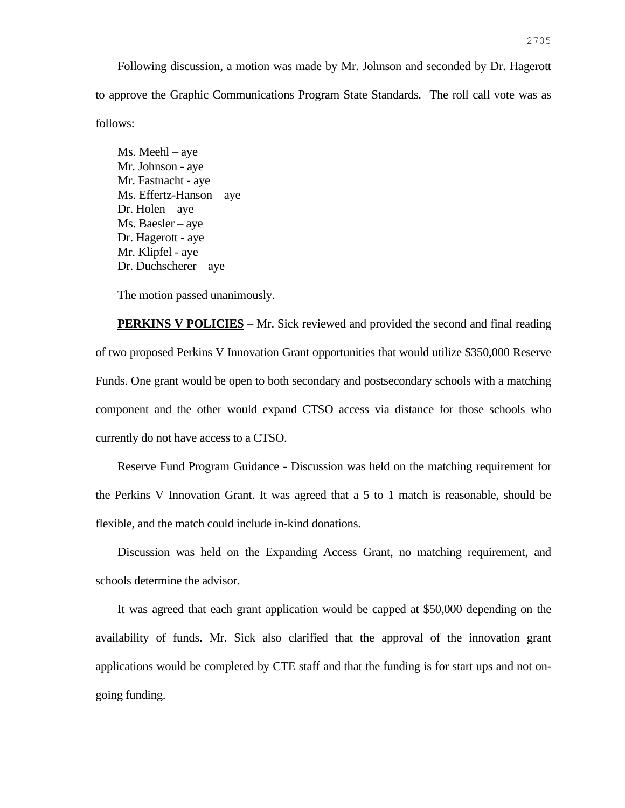Following discussion, a motion was made by Mr. Johnson and seconded by Dr. Hagerott to approve the Graphic Communications Program State Standards. The roll call vote was as follows:

Ms. Meehl – aye Mr. Johnson - aye Mr. Fastnacht - aye Ms. Effertz-Hanson – aye Dr. Holen – aye Ms. Baesler – aye Dr. Hagerott - aye Mr. Klipfel - aye Dr. Duchscherer – aye

The motion passed unanimously.

**PERKINS V POLICIES** – Mr. Sick reviewed and provided the second and final reading of two proposed Perkins V Innovation Grant opportunities that would utilize \$350,000 Reserve Funds. One grant would be open to both secondary and postsecondary schools with a matching component and the other would expand CTSO access via distance for those schools who currently do not have access to a CTSO.

Reserve Fund Program Guidance - Discussion was held on the matching requirement for the Perkins V Innovation Grant. It was agreed that a 5 to 1 match is reasonable, should be flexible, and the match could include in-kind donations.

Discussion was held on the Expanding Access Grant, no matching requirement, and schools determine the advisor.

It was agreed that each grant application would be capped at \$50,000 depending on the availability of funds. Mr. Sick also clarified that the approval of the innovation grant applications would be completed by CTE staff and that the funding is for start ups and not ongoing funding.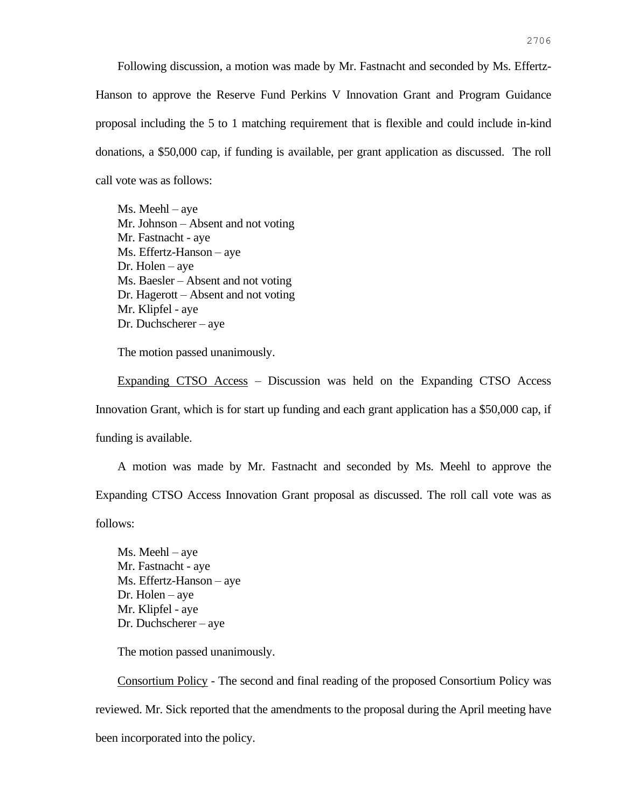Following discussion, a motion was made by Mr. Fastnacht and seconded by Ms. Effertz-Hanson to approve the Reserve Fund Perkins V Innovation Grant and Program Guidance proposal including the 5 to 1 matching requirement that is flexible and could include in-kind donations, a \$50,000 cap, if funding is available, per grant application as discussed. The roll call vote was as follows:

Ms. Meehl – aye Mr. Johnson – Absent and not voting Mr. Fastnacht - aye Ms. Effertz-Hanson – aye Dr. Holen – aye Ms. Baesler – Absent and not voting Dr. Hagerott – Absent and not voting Mr. Klipfel - aye Dr. Duchscherer – aye

The motion passed unanimously.

Expanding CTSO Access – Discussion was held on the Expanding CTSO Access Innovation Grant, which is for start up funding and each grant application has a \$50,000 cap, if funding is available.

A motion was made by Mr. Fastnacht and seconded by Ms. Meehl to approve the Expanding CTSO Access Innovation Grant proposal as discussed. The roll call vote was as follows:

Ms. Meehl – aye Mr. Fastnacht - aye Ms. Effertz-Hanson – aye Dr. Holen – aye Mr. Klipfel - aye Dr. Duchscherer – aye

The motion passed unanimously.

Consortium Policy - The second and final reading of the proposed Consortium Policy was reviewed. Mr. Sick reported that the amendments to the proposal during the April meeting have been incorporated into the policy.